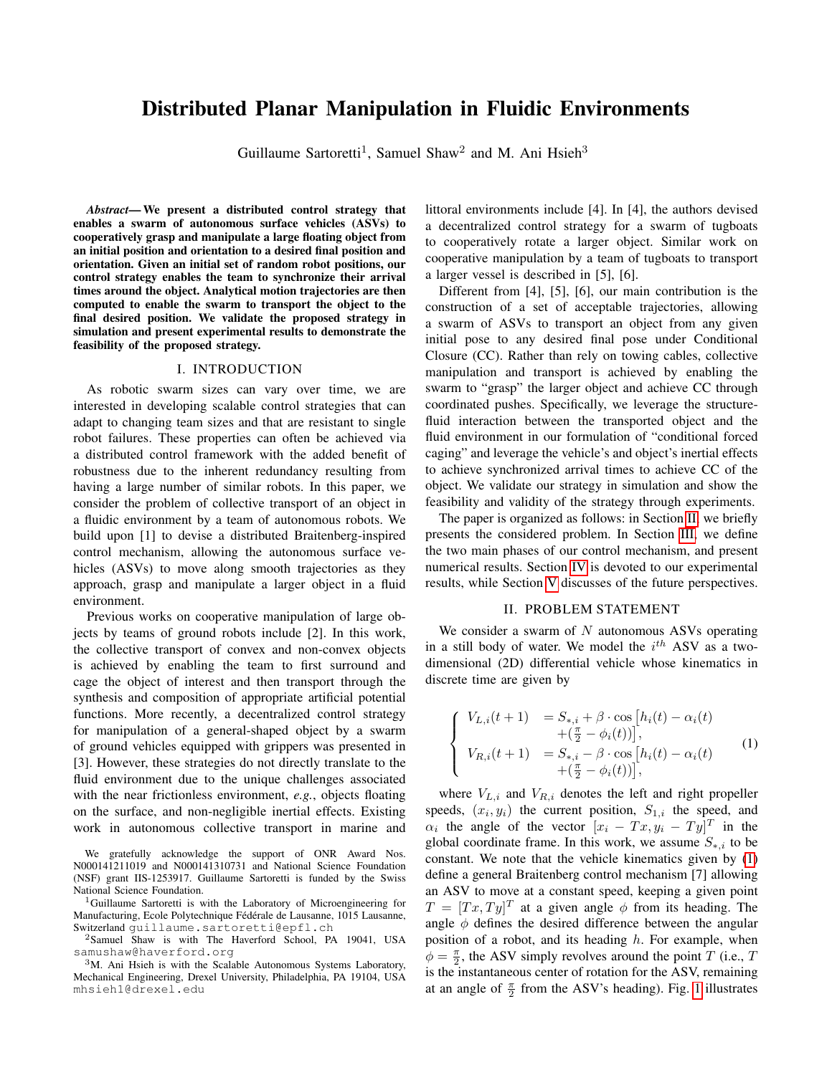# Distributed Planar Manipulation in Fluidic Environments

Guillaume Sartoretti<sup>1</sup>, Samuel Shaw<sup>2</sup> and M. Ani Hsieh<sup>3</sup>

*Abstract*— We present a distributed control strategy that enables a swarm of autonomous surface vehicles (ASVs) to cooperatively grasp and manipulate a large floating object from an initial position and orientation to a desired final position and orientation. Given an initial set of random robot positions, our control strategy enables the team to synchronize their arrival times around the object. Analytical motion trajectories are then computed to enable the swarm to transport the object to the final desired position. We validate the proposed strategy in simulation and present experimental results to demonstrate the feasibility of the proposed strategy.

### I. INTRODUCTION

As robotic swarm sizes can vary over time, we are interested in developing scalable control strategies that can adapt to changing team sizes and that are resistant to single robot failures. These properties can often be achieved via a distributed control framework with the added benefit of robustness due to the inherent redundancy resulting from having a large number of similar robots. In this paper, we consider the problem of collective transport of an object in a fluidic environment by a team of autonomous robots. We build upon [1] to devise a distributed Braitenberg-inspired control mechanism, allowing the autonomous surface vehicles (ASVs) to move along smooth trajectories as they approach, grasp and manipulate a larger object in a fluid environment.

Previous works on cooperative manipulation of large objects by teams of ground robots include [2]. In this work, the collective transport of convex and non-convex objects is achieved by enabling the team to first surround and cage the object of interest and then transport through the synthesis and composition of appropriate artificial potential functions. More recently, a decentralized control strategy for manipulation of a general-shaped object by a swarm of ground vehicles equipped with grippers was presented in [3]. However, these strategies do not directly translate to the fluid environment due to the unique challenges associated with the near frictionless environment, *e.g.*, objects floating on the surface, and non-negligible inertial effects. Existing work in autonomous collective transport in marine and

We gratefully acknowledge the support of ONR Award Nos. N000141211019 and N000141310731 and National Science Foundation (NSF) grant IIS-1253917. Guillaume Sartoretti is funded by the Swiss National Science Foundation.

<sup>1</sup>Guillaume Sartoretti is with the Laboratory of Microengineering for Manufacturing, Ecole Polytechnique Fédérale de Lausanne, 1015 Lausanne, Switzerland guillaume.sartoretti@epfl.ch

<sup>2</sup>Samuel Shaw is with The Haverford School, PA 19041, USA samushaw@haverford.org

<sup>3</sup>M. Ani Hsieh is with the Scalable Autonomous Systems Laboratory, Mechanical Engineering, Drexel University, Philadelphia, PA 19104, USA mhsieh1@drexel.edu

littoral environments include [4]. In [4], the authors devised a decentralized control strategy for a swarm of tugboats to cooperatively rotate a larger object. Similar work on cooperative manipulation by a team of tugboats to transport a larger vessel is described in [5], [6].

Different from [4], [5], [6], our main contribution is the construction of a set of acceptable trajectories, allowing a swarm of ASVs to transport an object from any given initial pose to any desired final pose under Conditional Closure (CC). Rather than rely on towing cables, collective manipulation and transport is achieved by enabling the swarm to "grasp" the larger object and achieve CC through coordinated pushes. Specifically, we leverage the structurefluid interaction between the transported object and the fluid environment in our formulation of "conditional forced caging" and leverage the vehicle's and object's inertial effects to achieve synchronized arrival times to achieve CC of the object. We validate our strategy in simulation and show the feasibility and validity of the strategy through experiments.

The paper is organized as follows: in Section [II,](#page-0-0) we briefly presents the considered problem. In Section [III,](#page-1-0) we define the two main phases of our control mechanism, and present numerical results. Section [IV](#page-3-0) is devoted to our experimental results, while Section [V](#page-5-0) discusses of the future perspectives.

# II. PROBLEM STATEMENT

<span id="page-0-0"></span>We consider a swarm of  $N$  autonomous ASVs operating in a still body of water. We model the  $i^{th}$  ASV as a twodimensional (2D) differential vehicle whose kinematics in discrete time are given by

<span id="page-0-1"></span>
$$
\begin{cases}\nV_{L,i}(t+1) &= S_{*,i} + \beta \cdot \cos[h_i(t) - \alpha_i(t) \\
+ (\frac{\pi}{2} - \phi_i(t))], \\
V_{R,i}(t+1) &= S_{*,i} - \beta \cdot \cos[h_i(t) - \alpha_i(t) \\
+ (\frac{\pi}{2} - \phi_i(t))] ,\n\end{cases} (1)
$$

where  $V_{L,i}$  and  $V_{R,i}$  denotes the left and right propeller speeds,  $(x_i, y_i)$  the current position,  $S_{1,i}$  the speed, and  $\alpha_i$  the angle of the vector  $[x_i - Tx, y_i - Ty]^T$  in the global coordinate frame. In this work, we assume  $S_{*,i}$  to be constant. We note that the vehicle kinematics given by [\(1\)](#page-0-1) define a general Braitenberg control mechanism [7] allowing an ASV to move at a constant speed, keeping a given point  $T = [Tx, Ty]^T$  at a given angle  $\phi$  from its heading. The angle  $\phi$  defines the desired difference between the angular position of a robot, and its heading  $h$ . For example, when  $\phi = \frac{\pi}{2}$ , the ASV simply revolves around the point T (i.e., T is the instantaneous center of rotation for the ASV, remaining at an angle of  $\frac{\pi}{2}$  from the ASV's heading). Fig. [1](#page-1-1) illustrates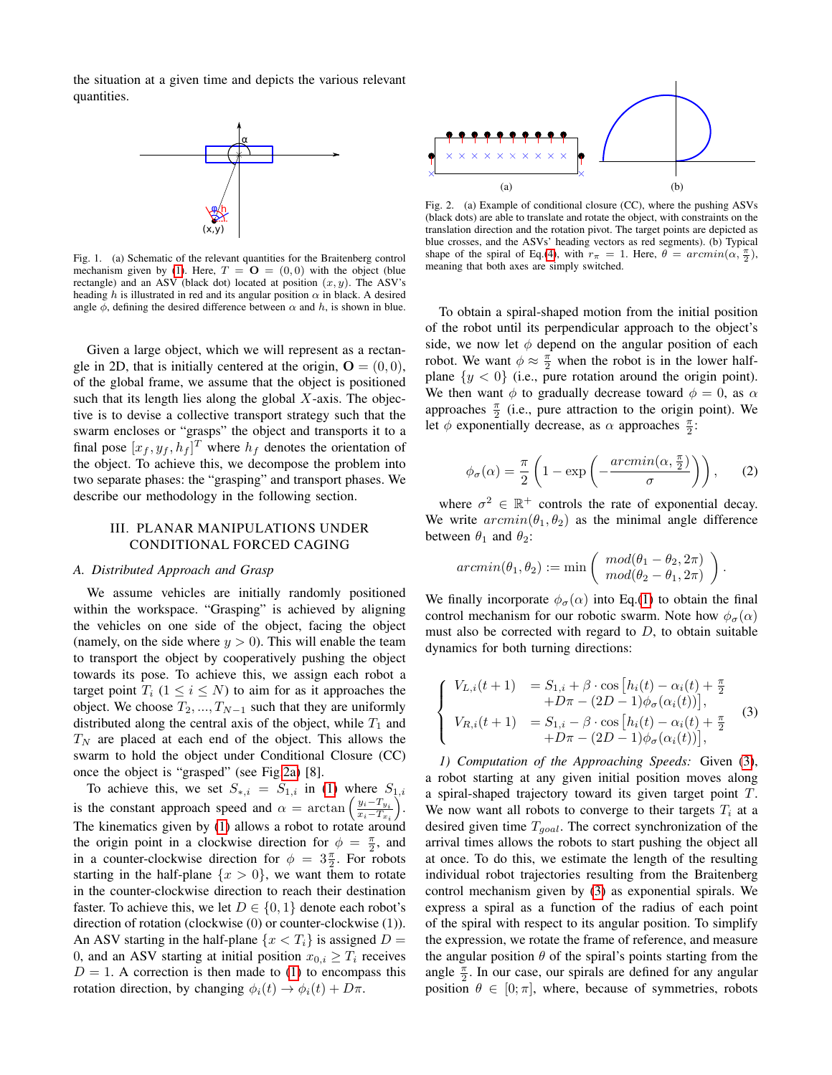the situation at a given time and depicts the various relevant quantities.



<span id="page-1-1"></span>Fig. 1. (a) Schematic of the relevant quantities for the Braitenberg control mechanism given by [\(1\)](#page-0-1). Here,  $T = \mathbf{O} = (0, 0)$  with the object (blue rectangle) and an ASV (black dot) located at position  $(x, y)$ . The ASV's heading h is illustrated in red and its angular position  $\alpha$  in black. A desired angle  $\phi$ , defining the desired difference between  $\alpha$  and  $h$ , is shown in blue.

Given a large object, which we will represent as a rectangle in 2D, that is initially centered at the origin,  $\mathbf{O} = (0, 0)$ , of the global frame, we assume that the object is positioned such that its length lies along the global  $X$ -axis. The objective is to devise a collective transport strategy such that the swarm encloses or "grasps" the object and transports it to a final pose  $[x_f, y_f, h_f]^T$  where  $h_f$  denotes the orientation of the object. To achieve this, we decompose the problem into two separate phases: the "grasping" and transport phases. We describe our methodology in the following section.

# <span id="page-1-0"></span>III. PLANAR MANIPULATIONS UNDER CONDITIONAL FORCED CAGING

#### *A. Distributed Approach and Grasp*

We assume vehicles are initially randomly positioned within the workspace. "Grasping" is achieved by aligning the vehicles on one side of the object, facing the object (namely, on the side where  $y > 0$ ). This will enable the team to transport the object by cooperatively pushing the object towards its pose. To achieve this, we assign each robot a target point  $T_i$   $(1 \le i \le N)$  to aim for as it approaches the object. We choose  $T_2, ..., T_{N-1}$  such that they are uniformly distributed along the central axis of the object, while  $T_1$  and  $T_N$  are placed at each end of the object. This allows the swarm to hold the object under Conditional Closure (CC) once the object is "grasped" (see Fig[.2a\)](#page-1-2) [8].

To achieve this, we set  $S_{*,i} = S_{1,i}$  in [\(1\)](#page-0-1) where  $S_{1,i}$ is the constant approach speed and  $\alpha = \arctan\left(\frac{y_i - T_{y_i}}{x_i - T_{y_i}}\right)$  $x_i-T_{x_i}$  $).$ The kinematics given by [\(1\)](#page-0-1) allows a robot to rotate around the origin point in a clockwise direction for  $\phi = \frac{\pi}{2}$ , and in a counter-clockwise direction for  $\phi = 3\frac{\pi}{2}$ . For robots starting in the half-plane  $\{x > 0\}$ , we want them to rotate in the counter-clockwise direction to reach their destination faster. To achieve this, we let  $D \in \{0, 1\}$  denote each robot's direction of rotation (clockwise (0) or counter-clockwise (1)). An ASV starting in the half-plane  $\{x < T_i\}$  is assigned  $D =$ 0, and an ASV starting at initial position  $x_{0,i} \geq T_i$  receives  $D = 1$ . A correction is then made to [\(1\)](#page-0-1) to encompass this rotation direction, by changing  $\phi_i(t) \rightarrow \phi_i(t) + D\pi$ .

<span id="page-1-2"></span>

<span id="page-1-4"></span>Fig. 2. (a) Example of conditional closure (CC), where the pushing ASVs (black dots) are able to translate and rotate the object, with constraints on the translation direction and the rotation pivot. The target points are depicted as blue crosses, and the ASVs' heading vectors as red segments). (b) Typical shape of the spiral of Eq.[\(4\)](#page-2-0), with  $r_{\pi} = 1$ . Here,  $\theta = \arcsin(\alpha, \frac{\pi}{2})$ , meaning that both axes are simply switched.

To obtain a spiral-shaped motion from the initial position of the robot until its perpendicular approach to the object's side, we now let  $\phi$  depend on the angular position of each robot. We want  $\phi \approx \frac{\pi}{2}$  when the robot is in the lower halfplane  $\{y < 0\}$  (i.e., pure rotation around the origin point). We then want  $\phi$  to gradually decrease toward  $\phi = 0$ , as  $\alpha$ approaches  $\frac{\pi}{2}$  (i.e., pure attraction to the origin point). We let  $\phi$  exponentially decrease, as  $\alpha$  approaches  $\frac{\pi}{2}$ :

<span id="page-1-5"></span>
$$
\phi_{\sigma}(\alpha) = \frac{\pi}{2} \left( 1 - \exp \left( -\frac{arcmin(\alpha, \frac{\pi}{2})}{\sigma} \right) \right), \quad (2)
$$

where  $\sigma^2 \in \mathbb{R}^+$  controls the rate of exponential decay. We write  $arcsin(\theta_1, \theta_2)$  as the minimal angle difference between  $\theta_1$  and  $\theta_2$ :

$$
arcmin(\theta_1, \theta_2) := \min\left(\begin{array}{c} mod(\theta_1 - \theta_2, 2\pi) \\ mod(\theta_2 - \theta_1, 2\pi) \end{array}\right).
$$

We finally incorporate  $\phi_{\sigma}(\alpha)$  into Eq.[\(1\)](#page-0-1) to obtain the final control mechanism for our robotic swarm. Note how  $\phi_{\sigma}(\alpha)$ must also be corrected with regard to  $D$ , to obtain suitable dynamics for both turning directions:

<span id="page-1-3"></span>
$$
\begin{cases}\nV_{L,i}(t+1) &= S_{1,i} + \beta \cdot \cos\left[h_i(t) - \alpha_i(t) + \frac{\pi}{2} + D\pi - (2D - 1)\phi_\sigma(\alpha_i(t))\right], \\
V_{R,i}(t+1) &= S_{1,i} - \beta \cdot \cos\left[h_i(t) - \alpha_i(t) + \frac{\pi}{2} + D\pi - (2D - 1)\phi_\sigma(\alpha_i(t))\right],\n\end{cases} (3)
$$

*1) Computation of the Approaching Speeds:* Given [\(3\)](#page-1-3), a robot starting at any given initial position moves along a spiral-shaped trajectory toward its given target point T. We now want all robots to converge to their targets  $T_i$  at a desired given time  $T_{goal}$ . The correct synchronization of the arrival times allows the robots to start pushing the object all at once. To do this, we estimate the length of the resulting individual robot trajectories resulting from the Braitenberg control mechanism given by [\(3\)](#page-1-3) as exponential spirals. We express a spiral as a function of the radius of each point of the spiral with respect to its angular position. To simplify the expression, we rotate the frame of reference, and measure the angular position  $\theta$  of the spiral's points starting from the angle  $\frac{\pi}{2}$ . In our case, our spirals are defined for any angular position  $\theta \in [0; \pi]$ , where, because of symmetries, robots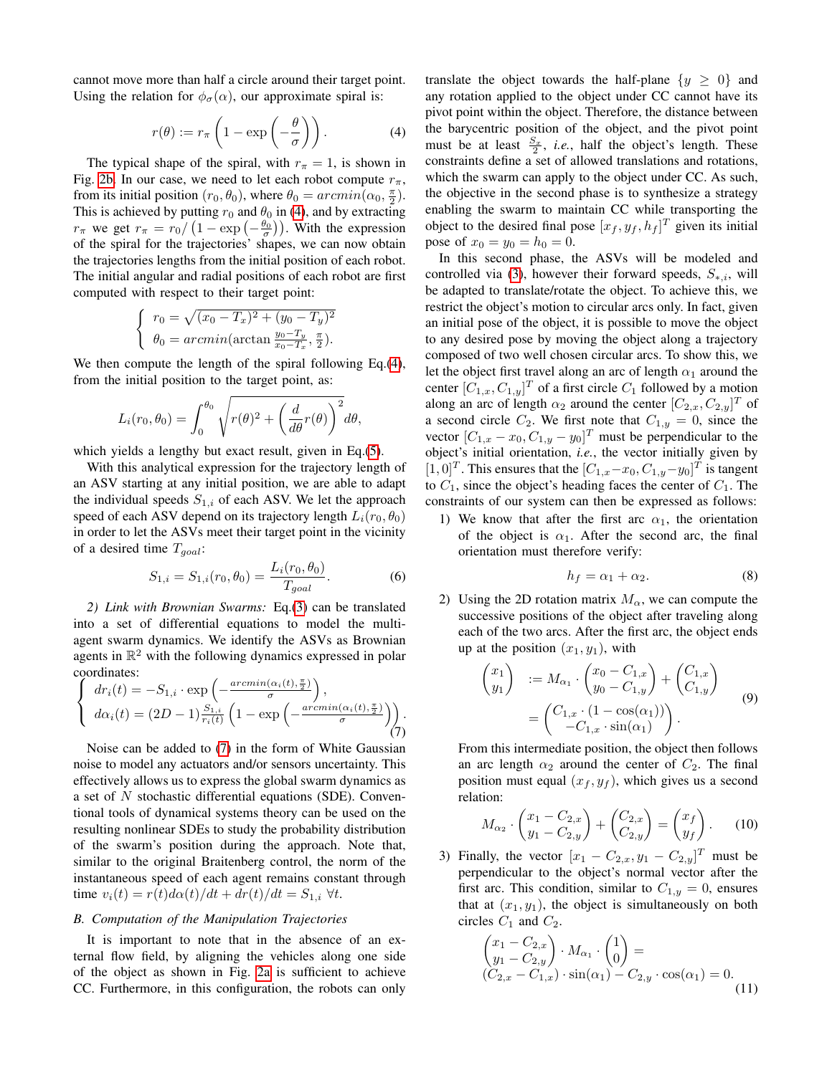cannot move more than half a circle around their target point. Using the relation for  $\phi_{\sigma}(\alpha)$ , our approximate spiral is:

<span id="page-2-0"></span>
$$
r(\theta) := r_{\pi} \left( 1 - \exp\left( -\frac{\theta}{\sigma} \right) \right). \tag{4}
$$

The typical shape of the spiral, with  $r_{\pi} = 1$ , is shown in Fig. [2b.](#page-1-4) In our case, we need to let each robot compute  $r_{\pi}$ , from its initial position  $(r_0, \theta_0)$ , where  $\theta_0 = arcmin(\alpha_0, \frac{\pi}{2})$ . This is achieved by putting  $r_0$  and  $\theta_0$  in [\(4\)](#page-2-0), and by extracting  $r_{\pi}$  we get  $r_{\pi} = r_0 / \left(1 - \exp\left(-\frac{\theta_0}{\sigma}\right)\right)$ . With the expression of the spiral for the trajectories' shapes, we can now obtain the trajectories lengths from the initial position of each robot. The initial angular and radial positions of each robot are first computed with respect to their target point:

$$
\begin{cases}\n r_0 = \sqrt{(x_0 - T_x)^2 + (y_0 - T_y)^2} \\
 \theta_0 = \arcsin(\arctan \frac{y_0 - T_y}{x_0 - T_x}, \frac{\pi}{2}).\n\end{cases}
$$

We then compute the length of the spiral following Eq.[\(4\)](#page-2-0), from the initial position to the target point, as:

$$
L_i(r_0, \theta_0) = \int_0^{\theta_0} \sqrt{r(\theta)^2 + \left(\frac{d}{d\theta}r(\theta)\right)^2} d\theta,
$$

which yields a lengthy but exact result, given in Eq.[\(5\)](#page-3-1).

With this analytical expression for the trajectory length of an ASV starting at any initial position, we are able to adapt the individual speeds  $S_{1,i}$  of each ASV. We let the approach speed of each ASV depend on its trajectory length  $L_i(r_0, \theta_0)$ in order to let the ASVs meet their target point in the vicinity of a desired time  $T_{goal}$ :

$$
S_{1,i} = S_{1,i}(r_0, \theta_0) = \frac{L_i(r_0, \theta_0)}{T_{goal}}.
$$
 (6)

*2) Link with Brownian Swarms:* Eq.[\(3\)](#page-1-3) can be translated into a set of differential equations to model the multiagent swarm dynamics. We identify the ASVs as Brownian agents in  $\mathbb{R}^2$  with the following dynamics expressed in polar coordinates:

<span id="page-2-1"></span>
$$
\begin{cases}\ndr_i(t) = -S_{1,i} \cdot \exp\left(-\frac{arcmin(\alpha_i(t), \frac{\pi}{2})}{\sigma}\right), \\
d\alpha_i(t) = (2D - 1)\frac{S_{1,i}}{r_i(t)} \left(1 - \exp\left(-\frac{arcmin(\alpha_i(t), \frac{\pi}{2})}{\sigma}\right)\right).\n\end{cases}
$$

Noise can be added to [\(7\)](#page-2-1) in the form of White Gaussian noise to model any actuators and/or sensors uncertainty. This effectively allows us to express the global swarm dynamics as a set of  $N$  stochastic differential equations (SDE). Conventional tools of dynamical systems theory can be used on the resulting nonlinear SDEs to study the probability distribution of the swarm's position during the approach. Note that, similar to the original Braitenberg control, the norm of the instantaneous speed of each agent remains constant through time  $v_i(t) = r(t)d\alpha(t)/dt + dr(t)/dt = S_{1,i} \ \forall t.$ 

# *B. Computation of the Manipulation Trajectories*

It is important to note that in the absence of an external flow field, by aligning the vehicles along one side of the object as shown in Fig. [2a](#page-1-2) is sufficient to achieve CC. Furthermore, in this configuration, the robots can only translate the object towards the half-plane  $\{y \geq 0\}$  and any rotation applied to the object under CC cannot have its pivot point within the object. Therefore, the distance between the barycentric position of the object, and the pivot point must be at least  $\frac{S_x}{2}$ , *i.e.*, half the object's length. These constraints define a set of allowed translations and rotations, which the swarm can apply to the object under CC. As such, the objective in the second phase is to synthesize a strategy enabling the swarm to maintain CC while transporting the object to the desired final pose  $[x_f, y_f, h_f]^T$  given its initial pose of  $x_0 = y_0 = h_0 = 0$ .

In this second phase, the ASVs will be modeled and controlled via [\(3\)](#page-1-3), however their forward speeds,  $S_{*,i}$ , will be adapted to translate/rotate the object. To achieve this, we restrict the object's motion to circular arcs only. In fact, given an initial pose of the object, it is possible to move the object to any desired pose by moving the object along a trajectory composed of two well chosen circular arcs. To show this, we let the object first travel along an arc of length  $\alpha_1$  around the center  $[C_{1,x}, C_{1,y}]^T$  of a first circle  $C_1$  followed by a motion along an arc of length  $\alpha_2$  around the center  $[C_{2,x}, C_{2,y}]^T$  of a second circle  $C_2$ . We first note that  $C_{1,y} = 0$ , since the vector  $[C_{1,x} - x_0, C_{1,y} - y_0]^T$  must be perpendicular to the object's initial orientation, *i.e.*, the vector initially given by  $[1,0]^T$ . This ensures that the  $[C_{1,x}-x_0, C_{1,y}-y_0]^T$  is tangent to  $C_1$ , since the object's heading faces the center of  $C_1$ . The constraints of our system can then be expressed as follows:

1) We know that after the first arc  $\alpha_1$ , the orientation of the object is  $\alpha_1$ . After the second arc, the final orientation must therefore verify:

<span id="page-2-2"></span>
$$
h_f = \alpha_1 + \alpha_2. \tag{8}
$$

2) Using the 2D rotation matrix  $M_{\alpha}$ , we can compute the successive positions of the object after traveling along each of the two arcs. After the first arc, the object ends up at the position  $(x_1, y_1)$ , with

<span id="page-2-4"></span>
$$
\begin{pmatrix} x_1 \\ y_1 \end{pmatrix} := M_{\alpha_1} \cdot \begin{pmatrix} x_0 - C_{1,x} \\ y_0 - C_{1,y} \end{pmatrix} + \begin{pmatrix} C_{1,x} \\ C_{1,y} \end{pmatrix}
$$
  
= 
$$
\begin{pmatrix} C_{1,x} \cdot (1 - \cos(\alpha_1)) \\ -C_{1,x} \cdot \sin(\alpha_1) \end{pmatrix}.
$$
 (9)

From this intermediate position, the object then follows an arc length  $\alpha_2$  around the center of  $C_2$ . The final position must equal  $(x_f, y_f)$ , which gives us a second relation:

$$
M_{\alpha_2} \cdot \begin{pmatrix} x_1 - C_{2,x} \\ y_1 - C_{2,y} \end{pmatrix} + \begin{pmatrix} C_{2,x} \\ C_{2,y} \end{pmatrix} = \begin{pmatrix} x_f \\ y_f \end{pmatrix}.
$$
 (10)

3) Finally, the vector  $[x_1 - C_{2,x}, y_1 - C_{2,y}]^T$  must be perpendicular to the object's normal vector after the first arc. This condition, similar to  $C_{1,y} = 0$ , ensures that at  $(x_1, y_1)$ , the object is simultaneously on both circles  $C_1$  and  $C_2$ .

<span id="page-2-3"></span>
$$
\begin{pmatrix} x_1 - C_{2,x} \\ y_1 - C_{2,y} \end{pmatrix} \cdot M_{\alpha_1} \cdot \begin{pmatrix} 1 \\ 0 \end{pmatrix} =
$$
  
\n
$$
(C_{2,x} - C_{1,x}) \cdot \sin(\alpha_1) - C_{2,y} \cdot \cos(\alpha_1) = 0.
$$
\n(11)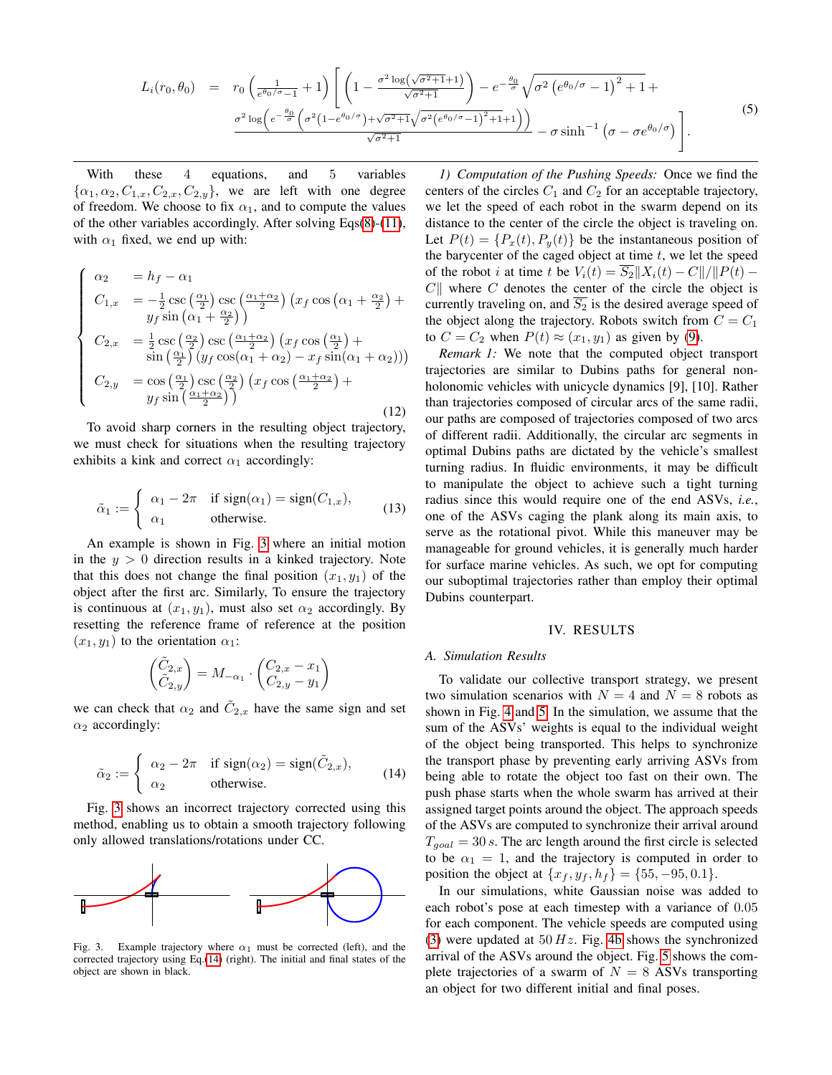<span id="page-3-1"></span>
$$
L_i(r_0, \theta_0) = r_0 \left( \frac{1}{e^{\theta_0/\sigma} - 1} + 1 \right) \left[ \left( 1 - \frac{\sigma^2 \log(\sqrt{\sigma^2 + 1} + 1)}{\sqrt{\sigma^2 + 1}} \right) - e^{-\frac{\theta_0}{\sigma}} \sqrt{\sigma^2 \left( e^{\theta_0/\sigma} - 1 \right)^2 + 1} + \frac{\sigma^2 \log \left( e^{-\frac{\theta_0}{\sigma}} \left( \sigma^2 (1 - e^{\theta_0/\sigma}) + \sqrt{\sigma^2 + 1} \sqrt{\sigma^2 (e^{\theta_0/\sigma} - 1)^2 + 1} + 1 \right) \right)}{\sqrt{\sigma^2 + 1}} - \sigma \sinh^{-1} \left( \sigma - \sigma e^{\theta_0/\sigma} \right) \right].
$$
\n(5)

With these 4 equations, and 5 variables  $\{\alpha_1, \alpha_2, C_{1,x}, C_{2,x}, C_{2,y}\}\$ , we are left with one degree of freedom. We choose to fix  $\alpha_1$ , and to compute the values of the other variables accordingly. After solving Eqs[\(8\)](#page-2-2)-[\(11\)](#page-2-3), with  $\alpha_1$  fixed, we end up with:

$$
\begin{cases}\n\alpha_2 = h_f - \alpha_1 \\
C_{1,x} = -\frac{1}{2}\csc\left(\frac{\alpha_1}{2}\right)\csc\left(\frac{\alpha_1 + \alpha_2}{2}\right)\left(x_f\cos\left(\alpha_1 + \frac{\alpha_2}{2}\right) + y_f\sin\left(\alpha_1 + \frac{\alpha_2}{2}\right)\right) \\
C_{2,x} = \frac{1}{2}\csc\left(\frac{\alpha_2}{2}\right)\csc\left(\frac{\alpha_1 + \alpha_2}{2}\right)\left(x_f\cos\left(\frac{\alpha_1}{2}\right) + \sin\left(\frac{\alpha_1}{2}\right)\left(y_f\cos(\alpha_1 + \alpha_2) - x_f\sin(\alpha_1 + \alpha_2)\right)\right) \\
C_{2,y} = \cos\left(\frac{\alpha_1}{2}\right)\csc\left(\frac{\alpha_2}{2}\right)\left(x_f\cos\left(\frac{\alpha_1 + \alpha_2}{2}\right) + y_f\sin\left(\frac{\alpha_1 + \alpha_2}{2}\right)\right)\n\end{cases}
$$
\n(12)

To avoid sharp corners in the resulting object trajectory, we must check for situations when the resulting trajectory exhibits a kink and correct  $\alpha_1$  accordingly:

$$
\tilde{\alpha}_1 := \begin{cases}\n\alpha_1 - 2\pi & \text{if sign}(\alpha_1) = \text{sign}(C_{1,x}), \\
\alpha_1 & \text{otherwise.} \n\end{cases}
$$
\n(13)

An example is shown in Fig. [3](#page-3-2) where an initial motion in the  $y > 0$  direction results in a kinked trajectory. Note that this does not change the final position  $(x_1, y_1)$  of the object after the first arc. Similarly, To ensure the trajectory is continuous at  $(x_1, y_1)$ , must also set  $\alpha_2$  accordingly. By resetting the reference frame of reference at the position  $(x_1, y_1)$  to the orientation  $\alpha_1$ :

$$
\begin{pmatrix} \tilde{C}_{2,x} \\ \tilde{C}_{2,y} \end{pmatrix} = M_{-\alpha_1} \cdot \begin{pmatrix} C_{2,x} - x_1 \\ C_{2,y} - y_1 \end{pmatrix}
$$

we can check that  $\alpha_2$  and  $\tilde{C}_{2,x}$  have the same sign and set  $\alpha_2$  accordingly:

<span id="page-3-3"></span>
$$
\tilde{\alpha}_2 := \begin{cases}\n\alpha_2 - 2\pi & \text{if sign}(\alpha_2) = \text{sign}(\tilde{C}_{2,x}), \\
\alpha_2 & \text{otherwise.} \n\end{cases}
$$
\n(14)

Fig. [3](#page-3-2) shows an incorrect trajectory corrected using this method, enabling us to obtain a smooth trajectory following only allowed translations/rotations under CC.



<span id="page-3-2"></span>Fig. 3. Example trajectory where  $\alpha_1$  must be corrected (left), and the corrected trajectory using Eq.[\(14\)](#page-3-3) (right). The initial and final states of the object are shown in black.

*1) Computation of the Pushing Speeds:* Once we find the centers of the circles  $C_1$  and  $C_2$  for an acceptable trajectory, we let the speed of each robot in the swarm depend on its distance to the center of the circle the object is traveling on. Let  $P(t) = {P<sub>x</sub>(t), P<sub>y</sub>(t)}$  be the instantaneous position of the barycenter of the caged object at time  $t$ , we let the speed of the robot i at time t be  $V_i(t) = S_2||X_i(t) - C||/||P(t) C\parallel$  where C denotes the center of the circle the object is currently traveling on, and  $\overline{S_2}$  is the desired average speed of the object along the trajectory. Robots switch from  $C = C_1$ to  $C = C_2$  when  $P(t) \approx (x_1, y_1)$  as given by [\(9\)](#page-2-4).

*Remark 1:* We note that the computed object transport trajectories are similar to Dubins paths for general nonholonomic vehicles with unicycle dynamics [9], [10]. Rather than trajectories composed of circular arcs of the same radii, our paths are composed of trajectories composed of two arcs of different radii. Additionally, the circular arc segments in optimal Dubins paths are dictated by the vehicle's smallest turning radius. In fluidic environments, it may be difficult to manipulate the object to achieve such a tight turning radius since this would require one of the end ASVs, *i.e.*, one of the ASVs caging the plank along its main axis, to serve as the rotational pivot. While this maneuver may be manageable for ground vehicles, it is generally much harder for surface marine vehicles. As such, we opt for computing our suboptimal trajectories rather than employ their optimal Dubins counterpart.

# IV. RESULTS

## <span id="page-3-0"></span>*A. Simulation Results*

To validate our collective transport strategy, we present two simulation scenarios with  $N = 4$  and  $N = 8$  robots as shown in Fig. [4](#page-4-0) and [5.](#page-4-1) In the simulation, we assume that the sum of the ASVs' weights is equal to the individual weight of the object being transported. This helps to synchronize the transport phase by preventing early arriving ASVs from being able to rotate the object too fast on their own. The push phase starts when the whole swarm has arrived at their assigned target points around the object. The approach speeds of the ASVs are computed to synchronize their arrival around  $T_{goal} = 30 s$ . The arc length around the first circle is selected to be  $\alpha_1 = 1$ , and the trajectory is computed in order to position the object at  $\{x_f, y_f, h_f\} = \{55, -95, 0.1\}.$ 

In our simulations, white Gaussian noise was added to each robot's pose at each timestep with a variance of 0.05 for each component. The vehicle speeds are computed using [\(3\)](#page-1-3) were updated at  $50 Hz$ . Fig. [4b](#page-4-2) shows the synchronized arrival of the ASVs around the object. Fig. [5](#page-4-1) shows the complete trajectories of a swarm of  $N = 8$  ASVs transporting an object for two different initial and final poses.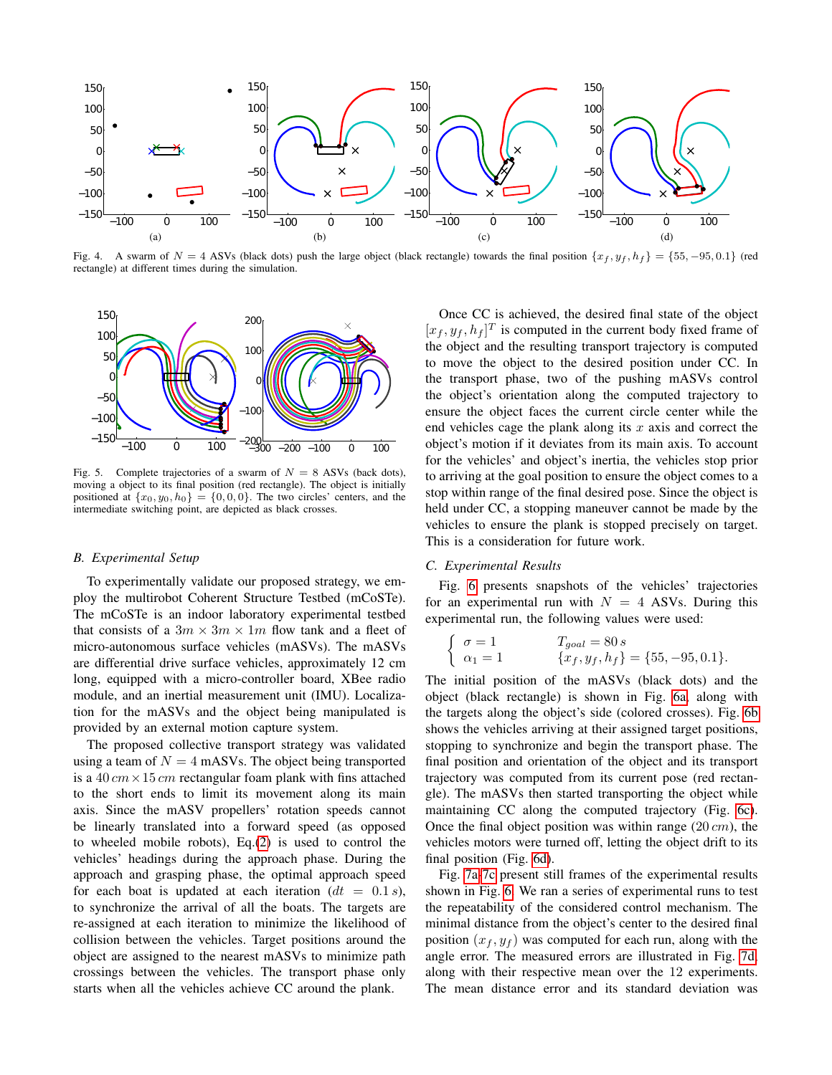

<span id="page-4-2"></span><span id="page-4-0"></span>Fig. 4. A swarm of  $N = 4$  ASVs (black dots) push the large object (black rectangle) towards the final position  $\{x_f, y_f, h_f\} = \{55, -95, 0.1\}$  (red rectangle) at different times during the simulation.



<span id="page-4-1"></span>Fig. 5. Complete trajectories of a swarm of  $N = 8$  ASVs (back dots), moving a object to its final position (red rectangle). The object is initially positioned at  $\{x_0, y_0, h_0\} = \{0, 0, 0\}$ . The two circles' centers, and the intermediate switching point, are depicted as black crosses.

### *B. Experimental Setup*

To experimentally validate our proposed strategy, we employ the multirobot Coherent Structure Testbed (mCoSTe). The mCoSTe is an indoor laboratory experimental testbed that consists of a  $3m \times 3m \times 1m$  flow tank and a fleet of micro-autonomous surface vehicles (mASVs). The mASVs are differential drive surface vehicles, approximately 12 cm long, equipped with a micro-controller board, XBee radio module, and an inertial measurement unit (IMU). Localization for the mASVs and the object being manipulated is provided by an external motion capture system.

The proposed collective transport strategy was validated using a team of  $N = 4$  mASVs. The object being transported is a 40  $cm \times 15$  cm rectangular foam plank with fins attached to the short ends to limit its movement along its main axis. Since the mASV propellers' rotation speeds cannot be linearly translated into a forward speed (as opposed to wheeled mobile robots), Eq.[\(2\)](#page-1-5) is used to control the vehicles' headings during the approach phase. During the approach and grasping phase, the optimal approach speed for each boat is updated at each iteration  $(dt = 0.1 s)$ , to synchronize the arrival of all the boats. The targets are re-assigned at each iteration to minimize the likelihood of collision between the vehicles. Target positions around the object are assigned to the nearest mASVs to minimize path crossings between the vehicles. The transport phase only starts when all the vehicles achieve CC around the plank.

Once CC is achieved, the desired final state of the object  $[x_f, y_f, h_f]^T$  is computed in the current body fixed frame of the object and the resulting transport trajectory is computed to move the object to the desired position under CC. In the transport phase, two of the pushing mASVs control the object's orientation along the computed trajectory to ensure the object faces the current circle center while the end vehicles cage the plank along its  $x$  axis and correct the object's motion if it deviates from its main axis. To account for the vehicles' and object's inertia, the vehicles stop prior to arriving at the goal position to ensure the object comes to a stop within range of the final desired pose. Since the object is held under CC, a stopping maneuver cannot be made by the vehicles to ensure the plank is stopped precisely on target. This is a consideration for future work.

## *C. Experimental Results*

Fig. [6](#page-5-1) presents snapshots of the vehicles' trajectories for an experimental run with  $N = 4$  ASVs. During this experimental run, the following values were used:

$$
\begin{cases}\n\sigma = 1 & T_{goal} = 80 s \\
\alpha_1 = 1 & \{x_f, y_f, h_f\} = \{55, -95, 0.1\}.\n\end{cases}
$$

The initial position of the mASVs (black dots) and the object (black rectangle) is shown in Fig. [6a,](#page-5-2) along with the targets along the object's side (colored crosses). Fig. [6b](#page-5-3) shows the vehicles arriving at their assigned target positions, stopping to synchronize and begin the transport phase. The final position and orientation of the object and its transport trajectory was computed from its current pose (red rectangle). The mASVs then started transporting the object while maintaining CC along the computed trajectory (Fig. [6c\)](#page-5-4). Once the final object position was within range  $(20 \, \text{cm})$ , the vehicles motors were turned off, letting the object drift to its final position (Fig. [6d\)](#page-5-5).

Fig. [7a-](#page-5-6)[7c](#page-5-7) present still frames of the experimental results shown in Fig. [6.](#page-5-1) We ran a series of experimental runs to test the repeatability of the considered control mechanism. The minimal distance from the object's center to the desired final position  $(x_f, y_f)$  was computed for each run, along with the angle error. The measured errors are illustrated in Fig. [7d,](#page-5-8) along with their respective mean over the 12 experiments. The mean distance error and its standard deviation was